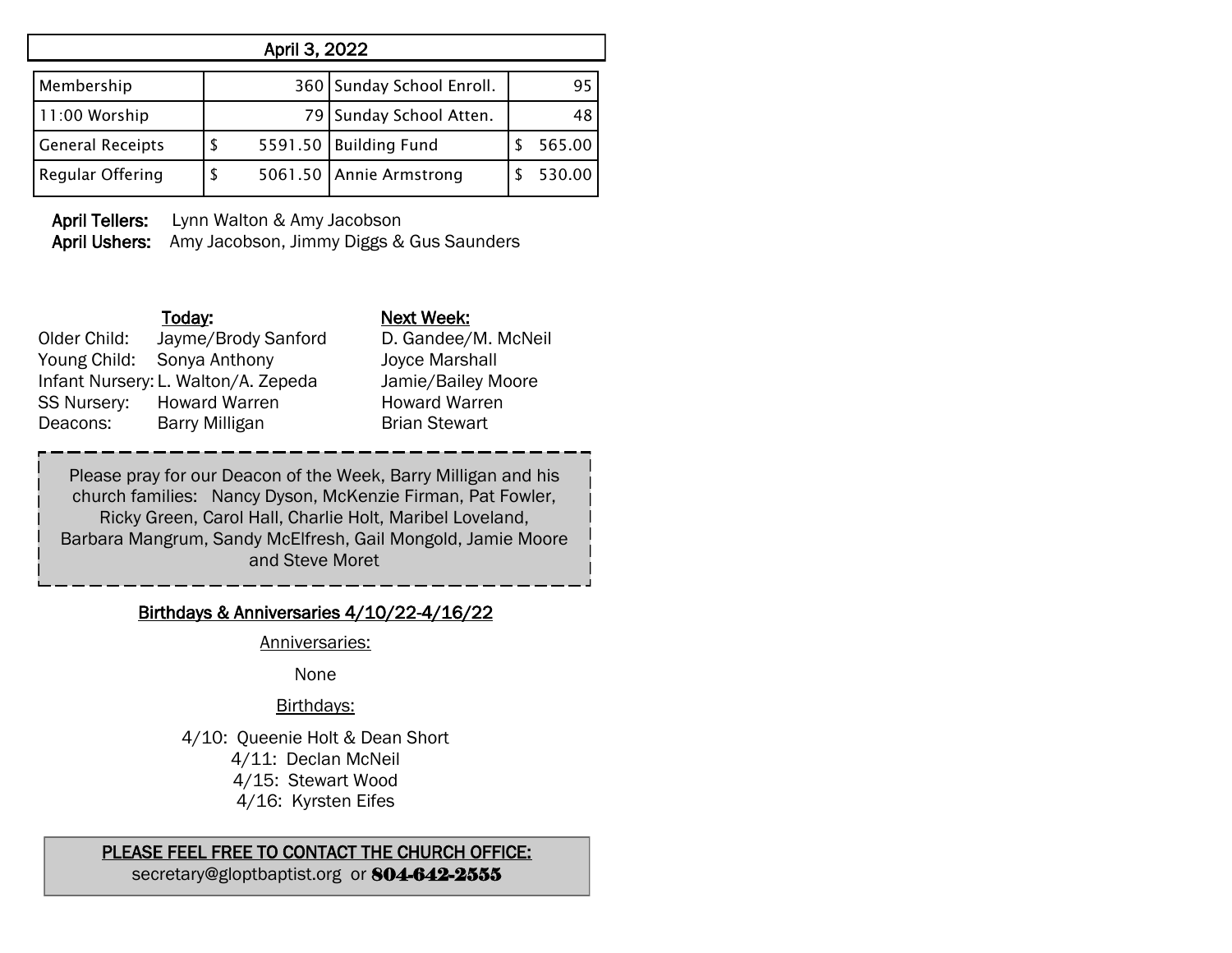| April 3, 2022           |    |    |                           |  |        |  |
|-------------------------|----|----|---------------------------|--|--------|--|
| Membership              |    |    | 360 Sunday School Enroll. |  | 95     |  |
| 11:00 Worship           |    | 79 | Sunday School Atten.      |  | 48     |  |
| <b>General Receipts</b> | S  |    | 5591.50 Building Fund     |  | 565.00 |  |
| <b>Regular Offering</b> | \$ |    | 5061.50 Annie Armstrong   |  | 530.00 |  |

April Tellers: Lynn Walton & Amy Jacobson April Ushers: Amy Jacobson, Jimmy Diggs & Gus Saunders

## Today: Next Week: Older Child: Jayme/Brody Sanford D. Gandee/M. McNeil Young Child: Sonya Anthony Joyce Marshall Infant Nursery: L. Walton/A. Zepeda Jamie/Bailey Moore SS Nursery: Howard Warren Howard Warren Deacons: Barry Milligan Brian Stewart

Please pray for our Deacon of the Week, Barry Milligan and his church families: Nancy Dyson, McKenzie Firman, Pat Fowler, Ricky Green, Carol Hall, Charlie Holt, Maribel Loveland, Barbara Mangrum, Sandy McElfresh, Gail Mongold, Jamie Moore and Steve Moret

## Birthdays & Anniversaries 4/10/22-4/16/22

Anniversaries:

None

## Birthdays:

4/10: Queenie Holt & Dean Short

4/11: Declan McNeil

4/15: Stewart Wood

4/16: Kyrsten Eifes

## PLEASE FEEL FREE TO CONTACT THE CHURCH OFFICE:

secretary@gloptbaptist.org or 804-642-2555